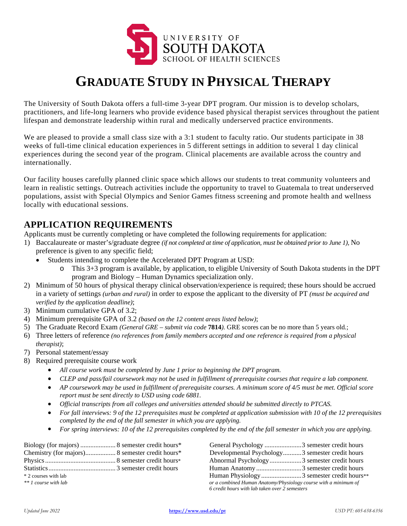

# **GRADUATE STUDY IN PHYSICAL THERAPY**

The University of South Dakota offers a full-time 3-year DPT program. Our mission is to develop scholars, practitioners, and life-long learners who provide evidence based physical therapist services throughout the patient lifespan and demonstrate leadership within rural and medically underserved practice environments.

We are pleased to provide a small class size with a 3:1 student to faculty ratio. Our students participate in 38 weeks of full-time clinical education experiences in 5 different settings in addition to several 1 day clinical experiences during the second year of the program. Clinical placements are available across the country and internationally.

Our facility houses carefully planned clinic space which allows our students to treat community volunteers and learn in realistic settings. Outreach activities include the opportunity to travel to Guatemala to treat underserved populations, assist with Special Olympics and Senior Games fitness screening and promote health and wellness locally with educational sessions.

## **APPLICATION REQUIREMENTS**

Applicants must be currently completing or have completed the following requirements for application:

- 1) Baccalaureate or master's/graduate degree *(if not completed at time of application, must be obtained prior to June 1),* No preference is given to any specific field;
	- Students intending to complete the Accelerated DPT Program at USD:
		- o This 3+3 program is available, by application, to eligible University of South Dakota students in the DPT program and Biology – Human Dynamics specialization only.
- 2) Minimum of 50 hours of physical therapy clinical observation/experience is required; these hours should be accrued in a variety of settings *(urban and rural)* in order to expose the applicant to the diversity of PT *(must be acquired and verified by the application deadline)*;
- 3) Minimum cumulative GPA of 3.2;
- 4) Minimum prerequisite GPA of 3.2 *(based on the 12 content areas listed below)*;
- 5) The Graduate Record Exam *(General GRE – submit via code* **7814***).* GRE scores can be no more than 5 years old*.*;
- 6) Three letters of reference *(no references from family members accepted and one reference is required from a physical therapist)*;
- 7) Personal statement/essay
- 8) Required prerequisite course work
	- *All course work must be completed by June 1 prior to beginning the DPT program.*
	- *CLEP and pass/fail coursework may not be used in fulfillment of prerequisite courses that require a lab component.*
	- *AP coursework may be used in fulfillment of prerequisite courses. A minimum score of 4/5 must be met. Official score report must be sent directly to USD using code 6881.*
	- *Official transcripts from all colleges and universities attended should be submitted directly to PTCAS.*
	- *For fall interviews: 9 of the 12 prerequisites must be completed at application submission with 10 of the 12 prerequisites completed by the end of the fall semester in which you are applying.*
	- *For spring interviews: 10 of the 12 prerequisites completed by the end of the fall semester in which you are applying.*

|                      |  |                                                                 | General Psychology 3 semester credit hours      |
|----------------------|--|-----------------------------------------------------------------|-------------------------------------------------|
|                      |  |                                                                 | Developmental Psychology3 semester credit hours |
|                      |  |                                                                 | Abnormal Psychology3 semester credit hours      |
|                      |  |                                                                 | Human Anatomy3 semester credit hours            |
| * 2 courses with lab |  |                                                                 | Human Physiology3 semester credit hours**       |
| ** 1 course with lab |  | or a combined Human Anatomy/Physiology course with a minimum of |                                                 |
|                      |  | 6 credit hours with lab taken over 2 semesters                  |                                                 |